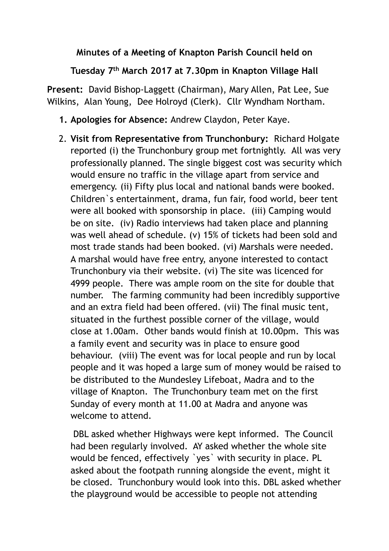## **Minutes of a Meeting of Knapton Parish Council held on**

**Tuesday 7th March 2017 at 7.30pm in Knapton Village Hall** 

**Present:** David Bishop-Laggett (Chairman), Mary Allen, Pat Lee, Sue Wilkins, Alan Young, Dee Holroyd (Clerk). Cllr Wyndham Northam.

- **1. Apologies for Absence:** Andrew Claydon, Peter Kaye.
- 2. **Visit from Representative from Trunchonbury:** Richard Holgate reported (i) the Trunchonbury group met fortnightly. All was very professionally planned. The single biggest cost was security which would ensure no traffic in the village apart from service and emergency. (ii) Fifty plus local and national bands were booked. Children`s entertainment, drama, fun fair, food world, beer tent were all booked with sponsorship in place. (iii) Camping would be on site. (iv) Radio interviews had taken place and planning was well ahead of schedule. (v) 15% of tickets had been sold and most trade stands had been booked. (vi) Marshals were needed. A marshal would have free entry, anyone interested to contact Trunchonbury via their website. (vi) The site was licenced for 4999 people. There was ample room on the site for double that number. The farming community had been incredibly supportive and an extra field had been offered. (vii) The final music tent, situated in the furthest possible corner of the village, would close at 1.00am. Other bands would finish at 10.00pm. This was a family event and security was in place to ensure good behaviour. (viii) The event was for local people and run by local people and it was hoped a large sum of money would be raised to be distributed to the Mundesley Lifeboat, Madra and to the village of Knapton. The Trunchonbury team met on the first Sunday of every month at 11.00 at Madra and anyone was welcome to attend.

 DBL asked whether Highways were kept informed. The Council had been regularly involved. AY asked whether the whole site would be fenced, effectively `yes` with security in place. PL asked about the footpath running alongside the event, might it be closed. Trunchonbury would look into this. DBL asked whether the playground would be accessible to people not attending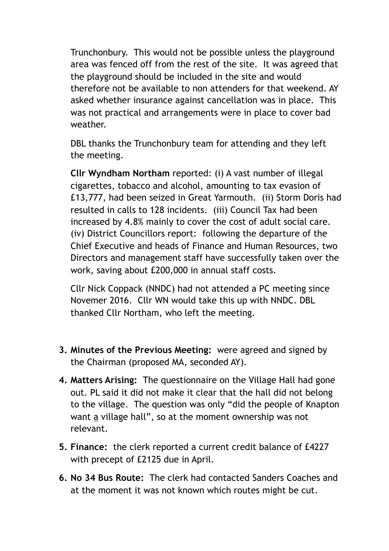Trunchonbury. This would not be possible unless the playground area was fenced off from the rest of the site. It was agreed that the playground should be included in the site and would therefore not be available to non attenders for that weekend. AY asked whether insurance against cancellation was in place. This was not practical and arrangements were in place to cover bad weather.

DBL thanks the Trunchonbury team for attending and they left the meeting.

**Cllr Wyndham Northam** reported: (i) A vast number of illegal cigarettes, tobacco and alcohol, amounting to tax evasion of £13,777, had been seized in Great Yarmouth. (ii) Storm Doris had resulted in calls to 128 incidents. (iii) Council Tax had been increased by 4.8% mainly to cover the cost of adult social care. (iv) District Councillors report: following the departure of the Chief Executive and heads of Finance and Human Resources, two Directors and management staff have successfully taken over the work, saving about £200,000 in annual staff costs.

Cllr Nick Coppack (NNDC) had not attended a PC meeting since Novemer 2016. Cllr WN would take this up with NNDC. DBL thanked Cllr Northam, who left the meeting.

- **3. Minutes of the Previous Meeting:** were agreed and signed by the Chairman (proposed MA, seconded AY).
- **4. Matters Arising:** The questionnaire on the Village Hall had gone out. PL said it did not make it clear that the hall did not belong to the village. The question was only "did the people of Knapton want a village hall", so at the moment ownership was not relevant.
- **5. Finance:** the clerk reported a current credit balance of £4227 with precept of £2125 due in April.
- **6. No 34 Bus Route:** The clerk had contacted Sanders Coaches and at the moment it was not known which routes might be cut.